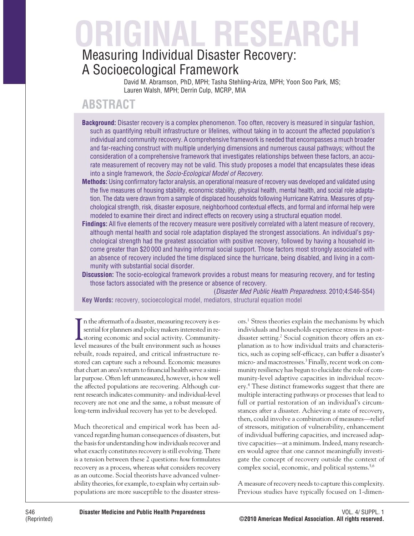# **ORIGINAL RESEARCH**

# Measuring Individual Disaster Recovery: A Socioecological Framework

David M. Abramson, PhD, MPH; Tasha Stehling-Ariza, MPH; Yoon Soo Park, MS; Lauren Walsh, MPH; Derrin Culp, MCRP, MIA

# **ABSTRACT**

- **Background:** Disaster recovery is a complex phenomenon. Too often, recovery is measured in singular fashion, such as quantifying rebuilt infrastructure or lifelines, without taking in to account the affected population's individual and community recovery. A comprehensive framework is needed that encompasses a much broader and far-reaching construct with multiple underlying dimensions and numerous causal pathways; without the consideration of a comprehensive framework that investigates relationships between these factors, an accurate measurement of recovery may not be valid. This study proposes a model that encapsulates these ideas into a single framework, the *Socio-Ecological Model of Recovery*.
- **Methods:** Using confirmatory factor analysis, an operational measure of recovery was developed and validated using the five measures of housing stability, economic stability, physical health, mental health, and social role adaptation. The data were drawn from a sample of displaced households following Hurricane Katrina. Measures of psychological strength, risk, disaster exposure, neighborhood contextual effects, and formal and informal help were modeled to examine their direct and indirect effects on recovery using a structural equation model.
- **Findings:** All five elements of the recovery measure were positively correlated with a latent measure of recovery, although mental health and social role adaptation displayed the strongest associations. An individual's psychological strength had the greatest association with positive recovery, followed by having a household income greater than \$20 000 and having informal social support. Those factors most strongly associated with an absence of recovery included the time displaced since the hurricane, being disabled, and living in a community with substantial social disorder.
- **Discussion:** The socio-ecological framework provides a robust means for measuring recovery, and for testing those factors associated with the presence or absence of recovery.

(*Disaster Med Public Health Preparedness*. 2010;4:S46-S54) **Key Words:** recovery, socioecological model, mediators, structural equation model

In the aftermath of a disaster, measuring recovery is espectial for planners and policy makers interested in re-<br>storing economic and social activity. Community-<br>level measures of the built environment such as bouses n the aftermath of a disaster, measuring recovery is essential for planners and policy makers interested in relevel measures of the built environment such as houses rebuilt, roads repaired, and critical infrastructure restored can capture such a rebound. Economic measures that chart an area's return to financial health serve a similar purpose. Often left unmeasured, however, is how well the affected populations are recovering. Although current research indicates community- and individual-level recovery are not one and the same, a robust measure of long-term individual recovery has yet to be developed.

Much theoretical and empirical work has been advanced regarding human consequences of disasters, but the basis for understanding how individuals recover and what exactly constitutes recovery is still evolving. There is a tension between these 2 questions: *how* formulates recovery as a process, whereas *what* considers recovery as an outcome. Social theorists have advanced vulnerability theories, for example, to explain why certain subpopulations are more susceptible to the disaster stressors.1 Stress theories explain the mechanisms by which individuals and households experience stress in a postdisaster setting.<sup>2</sup> Social cognition theory offers an explanation as to how individual traits and characteristics, such as coping self-efficacy, can buffer a disaster's micro- and macrostresses.3 Finally, recent work on community resiliency has begun to elucidate the role of community-level adaptive capacities in individual recovery.4 These distinct frameworks suggest that there are multiple interacting pathways or processes that lead to full or partial restoration of an individual's circumstances after a disaster. Achieving a state of recovery, then, could involve a combination of measures—relief of stressors, mitigation of vulnerability, enhancement of individual buffering capacities, and increased adaptive capacities—at a minimum. Indeed, many researchers would agree that one cannot meaningfully investigate the concept of recovery outside the context of complex social, economic, and political systems.<sup>5,6</sup>

A measure of recovery needs to capture this complexity. Previous studies have typically focused on 1-dimen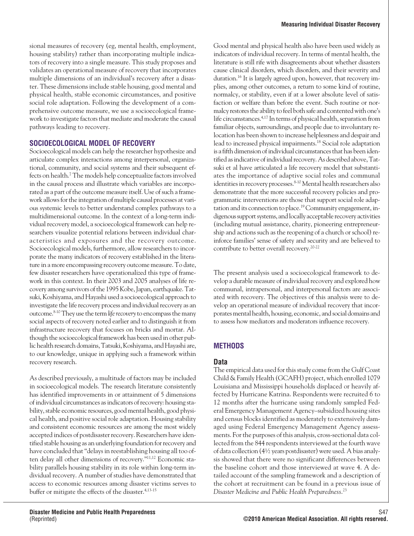sional measures of recovery (eg, mental health, employment, housing stability) rather than incorporating multiple indicators of recovery into a single measure. This study proposes and validates an operational measure of recovery that incorporates multiple dimensions of an individual's recovery after a disaster. These dimensions include stable housing, good mental and physical health, stable economic circumstances, and positive social role adaptation. Following the development of a comprehensive outcome measure, we use a socioecological framework to investigate factors that mediate and moderate the causal pathways leading to recovery.

### **SOCIOECOLOGICAL MODEL OF RECOVERY**

Socioecological models can help the researcher hypothesize and articulate complex interactions among interpersonal, organizational, community, and social systems and their subsequent effects on health.7 The models help conceptualize factors involved in the causal process and illustrate which variables are incorporated as a part of the outcome measure itself. Use of such a framework allows for the integration of multiple causal processes at various systemic levels to better understand complex pathways to a multidimensional outcome. In the context of a long-term individual recovery model, a socioecological framework can help researchers visualize potential relations between individual characteristics and exposures and the recovery outcome. Socioecological models, furthermore, allow researchers to incorporate the many indicators of recovery established in the literature in a more encompassing recovery outcome measure. To date, few disaster researchers have operationalized this type of framework in this context. In their 2003 and 2005 analyses of life recovery among survivors of the 1995 Kobe, Japan, earthquake. Tatsuki, Koshiyama, and Hayashi used a socioecological approach to investigate the life recovery process and individual recovery as an outcome.8-10They use the term*life recovery* to encompass the many social aspects of recovery noted earlier and to distinguish it from infrastructure recovery that focuses on bricks and mortar. Although the socioecological framework has been used in other public health research domains, Tatsuki, Koshiyama, and Hayashi are, to our knowledge, unique in applying such a framework within recovery research.

As described previously, a multitude of factors may be included in socioecological models. The research literature consistently has identified improvements in or attainment of 5 dimensions of individual circumstances as indicators of recovery: housing stability, stable economic resources, good mental health, good physical health, and positive social role adaptation. Housing stability and consistent economic resources are among the most widely accepted indices of postdisaster recovery. Researchers have identified stable housing as an underlying foundation for recovery and have concluded that "delays in reestablishing housing all too often delay all other dimensions of recovery."11,12 Economic stability parallels housing stability in its role within long-term individual recovery. A number of studies have demonstrated that access to economic resources among disaster victims serves to buffer or mitigate the effects of the disaster.<sup>4,13-15</sup>

Good mental and physical health also have been used widely as indicators of individual recovery. In terms of mental health, the literature is still rife with disagreements about whether disasters cause clinical disorders, which disorders, and their severity and duration.<sup>16</sup> It is largely agreed upon, however, that recovery implies, among other outcomes, a return to some kind of routine, normalcy, or stability, even if at a lower absolute level of satisfaction or welfare than before the event. Such routine or normalcy restores the ability to feel both safe and contented with one's life circumstances.4,17 In terms of physical health, separation from familiar objects, surroundings, and people due to involuntary relocation has been shown to increase helplessness and despair and lead to increased physical impairments.18 Social role adaptation is a fifth dimension of individual circumstances that has been identified as indicative of individual recovery. As described above, Tatsuki et al have articulated a life recovery model that substantiates the importance of adaptive social roles and communal identities in recovery processes.<sup>8-10</sup> Mental health researchers also demonstrate that the more successful recovery policies and programmatic interventions are those that support social role adaptation and its connection to place.<sup>19</sup> Community engagement, indigenous support systems, and locally acceptable recovery activities (including mutual assistance, charity, pioneering entrepreneurship and actions such as the reopening of a church or school) reinforce families' sense of safety and security and are believed to contribute to better overall recovery.20-22

The present analysis used a socioecological framework to develop a durable measure of individual recovery and explored how communal, intrapersonal, and interpersonal factors are associated with recovery. The objectives of this analysis were to develop an operational measure of individual recovery that incorporates mental health, housing, economic, and social domains and to assess how mediators and moderators influence recovery.

## **METHODS**

## **Data**

The empirical data used for this study come from the Gulf Coast Child & Family Health (GCAFH) project, which enrolled 1079 Louisiana and Mississippi households displaced or heavily affected by Hurricane Katrina. Respondents were recruited 6 to 12 months after the hurricane using randomly sampled Federal Emergency Management Agency–subsidized housing sites and census blocks identified as moderately to extensively damaged using Federal Emergency Management Agency assessments. For the purposes of this analysis, cross-sectional data collected from the 844 respondents interviewed at the fourth wave of data collection (41⁄2 years postdisaster) were used. A bias analysis showed that there were no significant differences between the baseline cohort and those interviewed at wave 4. A detailed account of the sampling framework and a description of the cohort at recruitment can be found in a previous issue of *Disaster Medicine and Public Health Preparedness*. 23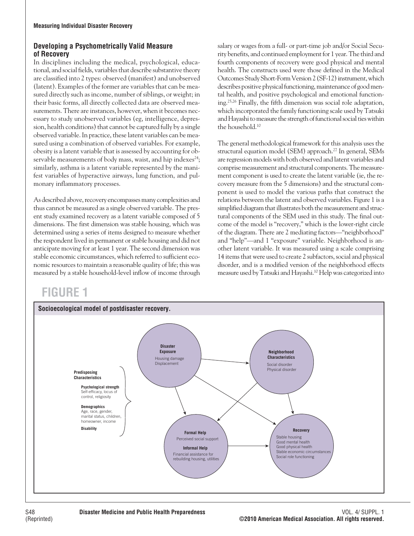## **Developing a Psychometrically Valid Measure of Recovery**

In disciplines including the medical, psychological, educational, and social fields, variables that describe substantive theory are classified into 2 types: observed (manifest) and unobserved (latent). Examples of the former are variables that can be measured directly such as income, number of siblings, or weight; in their basic forms, all directly collected data are observed measurements. There are instances, however, when it becomes necessary to study unobserved variables (eg, intelligence, depression, health conditions) that cannot be captured fully by a single observed variable. In practice, these latent variables can be measured using a combination of observed variables. For example, obesity is a latent variable that is assessed by accounting for observable measurements of body mass, waist, and hip indexes $24$ ; similarly, asthma is a latent variable represented by the manifest variables of hyperactive airways, lung function, and pulmonary inflammatory processes.

As described above, recovery encompasses many complexities and thus cannot be measured as a single observed variable. The present study examined recovery as a latent variable composed of 5 dimensions. The first dimension was stable housing, which was determined using a series of items designed to measure whether the respondent lived in permanent or stable housing and did not anticipate moving for at least 1 year. The second dimension was stable economic circumstances, which referred to sufficient economic resources to maintain a reasonable quality of life; this was measured by a stable household-level inflow of income through

# **FIGURE 1**

salary or wages from a full- or part-time job and/or Social Security benefits, and continued employment for 1 year. The third and fourth components of recovery were good physical and mental health. The constructs used were those defined in the Medical Outcomes Study Short-Form Version 2 (SF-12) instrument, which describes positive physical functioning, maintenance of good mental health, and positive psychological and emotional functioning.25,26 Finally, the fifth dimension was social role adaptation, which incorporated the family functioning scale used by Tatsuki and Hayashi to measure the strength of functional social ties within the household.10

The general methodological framework for this analysis uses the structural equation model (SEM) approach.<sup>27</sup> In general, SEMs are regression models with both observed and latent variables and comprise measurement and structural components. The measurement component is used to create the latent variable (ie, the recovery measure from the 5 dimensions) and the structural component is used to model the various paths that construct the relations between the latent and observed variables. Figure 1 is a simplified diagram that illustrates both the measurement and structural components of the SEM used in this study. The final outcome of the model is "recovery," which is the lower-right circle of the diagram. There are 2 mediating factors—"neighborhood" and "help"—and 1 "exposure" variable. Neighborhood is another latent variable. It was measured using a scale comprising 14 items that were used to create 2 subfactors, social and physical disorder, and is a modified version of the neighborhood effects measure used by Tatsuki and Hayashi.10 Help was categorized into

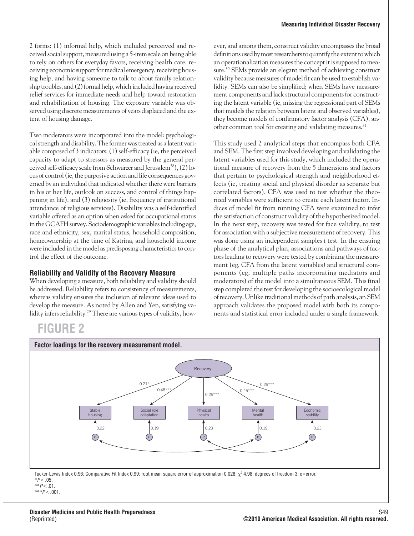2 forms: (1) informal help, which included perceived and received social support, measured using a 5-item scale on being able to rely on others for everyday favors, receiving health care, receiving economic support for medical emergency, receiving housing help, and having someone to talk to about family relationship troubles, and (2) formal help, which included having received relief services for immediate needs and help toward restoration and rehabilitation of housing. The exposure variable was observed using discrete measurements of years displaced and the extent of housing damage.

Two moderators were incorporated into the model: psychological strength and disability. The former was treated as a latent variable composed of 3 indicators: (1) self-efficacy (ie, the perceived capacity to adapt to stressors as measured by the general perceived self-efficacy scale from Schwarzer and Jerusalem<sup>28</sup>), (2) locus of control (ie, the purposive action and life consequences governed by an individual that indicated whether there were barriers in his or her life, outlook on success, and control of things happening in life), and (3) religiosity (ie, frequency of institutional attendance of religious services). Disability was a self-identified variable offered as an option when asked for occupational status in the GCAFH survey. Sociodemographic variables including age, race and ethnicity, sex, marital status, household composition, homeownership at the time of Katrina, and household income were included in the model as predisposing characteristics to control the effect of the outcome.

## **Reliability and Validity of the Recovery Measure**

When developing a measure, both reliability and validity should be addressed. Reliability refers to consistency of measurements, whereas validity ensures the inclusion of relevant ideas used to develop the measure. As noted by Allen and Yen, satisfying validity infers reliability.<sup>29</sup> There are various types of validity, how-

ever, and among them, construct validity encompasses the broad definitions used by most researchers to quantify the extent to which an operationalization measures the concept it is supposed to measure.<sup>30</sup> SEMs provide an elegant method of achieving construct validity because measures of model fit can be used to establish validity. SEMs can also be simplified; when SEMs have measurement components and lack structural components for constructing the latent variable (ie, missing the regressional part of SEMs that models the relation between latent and observed variables), they become models of confirmatory factor analysis (CFA), another common tool for creating and validating measures.<sup>31</sup>

This study used 2 analytical steps that encompass both CFA and SEM. The first step involved developing and validating the latent variables used for this study, which included the operational measure of recovery from the 5 dimensions and factors that pertain to psychological strength and neighborhood effects (ie, treating social and physical disorder as separate but correlated factors). CFA was used to test whether the theorized variables were sufficient to create each latent factor. Indices of model fit from running CFA were examined to infer the satisfaction of construct validity of the hypothesized model. In the next step, recovery was tested for face validity, to test for association with a subjective measurement of recovery. This was done using an independent samples *t* test. In the ensuing phase of the analytical plan, associations and pathways of factors leading to recovery were tested by combining the measurement (eg, CFA from the latent variables) and structural components (eg, multiple paths incorporating mediators and moderators) of the model into a simultaneous SEM. This final step completed the test for developing the socioecological model of recovery. Unlike traditional methods of path analysis, an SEM approach validates the proposed model with both its components and statistical error included under a single framework.



 $*$ *\*P*<.01.  $***P<.001$ .

**FIGURE 2**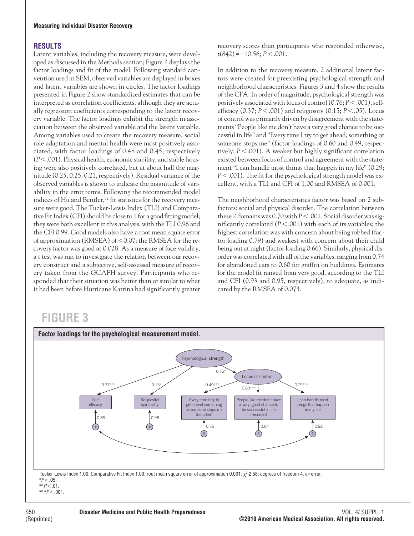#### **Measuring Individual Disaster Recovery**

## **RESULTS**

Latent variables, including the recovery measure, were developed as discussed in the Methods section; Figure 2 displays the factor loadings and fit of the model. Following standard convention used in SEM, observed variables are displayed in boxes and latent variables are shown in circles. The factor loadings presented in Figure 2 show standardized estimates that can be interpreted as correlation coefficients, although they are actually regression coefficients corresponding to the latent recovery variable. The factor loadings exhibit the strength in association between the observed variable and the latent variable. Among variables used to create the recovery measure, social role adaptation and mental health were most positively associated, with factor loadings of 0.48 and 0.45, respectively (*P*.001). Physical health, economic stability, and stable housing were also positively correlated, but at about half the magnitude (0.25, 0.25, 0.21, respectively). Residual variance of the observed variables is shown to indicate the magnitude of variability in the error terms. Following the recommended model indices of Hu and Bentler,<sup>32</sup> fit statistics for the recovery measure were good. The Tucker-Lewis Index (TLI) and Comparative Fit Index (CFI) should be close to 1 for a good fitting model; they were both excellent in this analysis, with the TLI 0.96 and the CFI 0.99. Good models also have a root mean square error of approximation (RMSEA) of  $\leq$  0.07; the RMSEA for the recovery factor was good at 0.028. As a measure of face validity, a *t* test was run to investigate the relation between our recovery construct and a subjective, self-assessed measure of recovery taken from the GCAFH survey. Participants who responded that their situation was better than or similar to what it had been before Hurricane Katrina had significantly greater

## recovery scores than participants who responded otherwise, *t*(842) = −10.56; *P* < .001.

In addition to the recovery measure, 2 additional latent factors were created for preexisting psychological strength and neighborhood characteristics. Figures 3 and 4 show the results of the CFA. In order of magnitude, psychological strength was positively associated with locus of control (0.76; *P*.001), selfefficacy (0.37; *P*.001) and religiosity (0.15; *P*.05). Locus of control was primarily driven by disagreement with the statements "People like me don't have a very good chance to be successful in life" and "Every time I try to get ahead, something or someone stops me" (factor loadings of 0.60 and 0.49, respectively;  $P$ <.001). A weaker but highly significant correlation existed between locus of control and agreement with the statement "I can handle most things that happen in my life" (0.29; *P*<.001). The fit for the psychological strength model was excellent, with a TLI and CFI of 1.00 and RMSEA of 0.001.

The neighborhood characteristics factor was based on 2 subfactors: social and physical disorder. The correlation between these 2 domains was 0.70 with  $P < .001$ . Social disorder was significantly correlated  $(P < .001)$  with each of its variables; the highest correlation was with concern about being robbed (factor loading 0.79) and weakest with concern about their child being out at night (factor loading 0.66). Similarly, physical disorder was correlated with all of the variables, ranging from 0.74 for abandoned cars to 0.60 for graffiti on buildings. Estimates for the model fit ranged from very good, according to the TLI and CFI (0.93 and 0.95, respectively), to adequate, as indicated by the RMSEA of 0.073.

# **FIGURE 3**



 $*$ *\*P*<.01.  $***P<.001$ .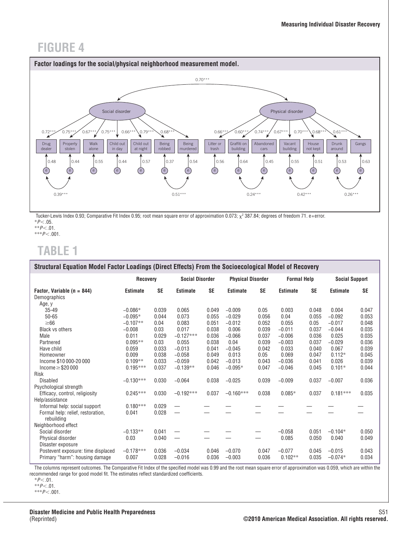# **FIGURE 4**



Tucker-Lewis Index 0.93; Comparative Fit Index 0.95; root mean square error of approximation 0.073;  $\chi^2$  387.84; degrees of freedom 71. e=error.  $*P$  < .05.

 $* p < .01$ .

\*\*\**P*.001.

## **TABLE 1**

| Structural Equation Model Factor Loadings (Direct Effects) From the Socioecological Model of Recovery                   |                                                  |                                |                                    |                                  |                                           |                                 |                                    |                                 |                                           |                                  |
|-------------------------------------------------------------------------------------------------------------------------|--------------------------------------------------|--------------------------------|------------------------------------|----------------------------------|-------------------------------------------|---------------------------------|------------------------------------|---------------------------------|-------------------------------------------|----------------------------------|
|                                                                                                                         | <b>Recovery</b>                                  |                                | <b>Social Disorder</b>             |                                  | <b>Physical Disorder</b>                  |                                 | <b>Formal Help</b>                 |                                 | <b>Social Support</b>                     |                                  |
| Factor, Variable ( $n = 844$ )<br>Demographics<br>Age, y                                                                | <b>Estimate</b>                                  | <b>SE</b>                      | <b>Estimate</b>                    | <b>SE</b>                        | <b>Estimate</b>                           | <b>SE</b>                       | <b>Estimate</b>                    | <b>SE</b>                       | <b>Estimate</b>                           | <b>SE</b>                        |
| $35 - 49$<br>$50 - 65$<br>$\geq 66$<br><b>Black vs others</b>                                                           | $-0.086*$<br>$-0.095*$<br>$-0.107**$<br>$-0.008$ | 0.039<br>0.044<br>0.04<br>0.03 | 0.065<br>0.073<br>0.083<br>0.017   | 0.049<br>0.055<br>0.051<br>0.038 | $-0.009$<br>$-0.029$<br>$-0.012$<br>0.006 | 0.05<br>0.056<br>0.052<br>0.039 | 0.003<br>0.04<br>0.055<br>$-0.011$ | 0.048<br>0.055<br>0.05<br>0.037 | 0.004<br>$-0.092$<br>$-0.017$<br>$-0.044$ | 0.047<br>0.053<br>0.048<br>0.035 |
| Male<br>Partnered<br>Have child                                                                                         | 0.011<br>$0.095**$<br>0.059                      | 0.029<br>0.03<br>0.033         | $-0.127***$<br>0.055<br>$-0.013$   | 0.036<br>0.038<br>0.041          | $-0.066$<br>0.04<br>$-0.045$              | 0.037<br>0.039<br>0.042         | $-0.006$<br>$-0.003$<br>0.033      | 0.036<br>0.037<br>0.040         | 0.025<br>$-0.029$<br>0.067                | 0.035<br>0.036<br>0.039          |
| Homeowner<br>Income \$10 000-20 000<br>Income $\ge$ \$20 000                                                            | 0.009<br>$0.109**$<br>$0.195***$                 | 0.038<br>0.033<br>0.037        | $-0.058$<br>$-0.059$<br>$-0.139**$ | 0.049<br>0.042<br>0.046          | 0.013<br>$-0.013$<br>$-0.095*$            | 0.05<br>0.043<br>0.047          | 0.069<br>$-0.036$<br>$-0.046$      | 0.047<br>0.041<br>0.045         | $0.112*$<br>0.026<br>$0.101*$             | 0.045<br>0.039<br>0.044          |
| Risk<br><b>Disabled</b><br>Psychological strength                                                                       | $-0.130***$<br>$0.245***$                        | 0.030<br>0.030                 | $-0.064$<br>$-0.192***$            | 0.038<br>0.037                   | $-0.025$<br>$-0.160***$                   | 0.039<br>0.038                  | $-0.009$<br>$0.085*$               | 0.037<br>0.037                  | $-0.007$<br>$0.181***$                    | 0.036<br>0.035                   |
| Efficacy, control, religiosity<br>Help/assistance<br>Informal help: social support<br>Formal help: relief, restoration, | $0.180***$<br>0.041                              | 0.029<br>0.028                 |                                    |                                  |                                           |                                 |                                    |                                 |                                           |                                  |
| rebuilding<br>Neighborhood effect<br>Social disorder<br>Physical disorder<br>Disaster exposure                          | $-0.133**$<br>0.03                               | 0.041<br>0.040                 |                                    |                                  |                                           |                                 | $-0.058$<br>0.085                  | 0.051<br>0.050                  | $-0.104*$<br>0.040                        | 0.050<br>0.049                   |
| Postevent exposure: time displaced<br>Primary "harm": housing damage                                                    | $-0.178***$<br>0.007                             | 0.036<br>0.028                 | $-0.034$<br>$-0.016$               | 0.046<br>0.036                   | $-0.070$<br>$-0.003$                      | 0.047<br>0.036                  | $-0.077$<br>$0.102**$              | 0.045<br>0.035                  | $-0.015$<br>$-0.074*$                     | 0.043<br>0.034                   |

The columns represent outcomes. The Comparative Fit Index of the specified model was 0.99 and the root mean square error of approximation was 0.059, which are within the recommended range for good model fit. The estimates reflect standardized coefficients.

 $*P$  < .01.

 $*P$  < .01.

\*\*\**P*.001.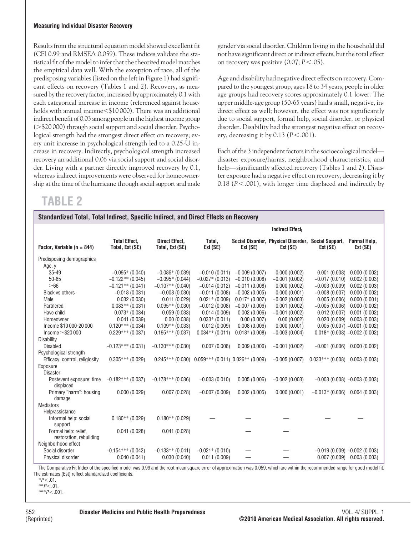#### **Measuring Individual Disaster Recovery**

Results from the structural equation model showed excellent fit (CFI 0.99 and RMSEA 0.059). These indices validate the statistical fit of the model to infer that the theorized model matches the empirical data well. With the exception of race, all of the predisposing variables (listed on the left in Figure 1) had significant effects on recovery (Tables 1 and 2). Recovery, as measured by the recovery factor, increased by approximately 0.1 with each categorical increase in income (referenced against households with annual income<\$10000). There was an additional indirect benefit of 0.03 among people in the highest income group ( $>\$20 000$ ) through social support and social disorder. Psychological strength had the strongest direct effect on recovery; every unit increase in psychological strength led to a 0.25-U increase in recovery. Indirectly, psychological strength increased recovery an additional 0.06 via social support and social disorder. Living with a partner directly improved recovery by 0.1, whereas indirect improvements were observed for homeownership at the time of the hurricane through social support and male

# **TABLE 2**

gender via social disorder. Children living in the household did not have significant direct or indirect effects, but the total effect on recovery was positive  $(0.07; P < .05)$ .

Age and disability had negative direct effects on recovery. Compared to the youngest group, ages 18 to 34 years, people in older age groups had recovery scores approximately 0.1 lower. The upper middle-age group (50-65 years) had a small, negative, indirect effect as well; however, the effect was not significantly due to social support, formal help, social disorder, or physical disorder. Disability had the strongest negative effect on recovery, decreasing it by  $0.13$  ( $P < .001$ ).

Each of the 3 independent factors in the socioecological model disaster exposure/harms, neighborhood characteristics, and help—significantly affected recovery (Tables 1 and 2). Disaster exposure had a negative effect on recovery, decreasing it by  $0.18$  ( $P$ <.001), with longer time displaced and indirectly by

| Standardized Total, Total Indirect, Specific Indirect, and Direct Effects on Recovery |                                         |                                                         |                        |                  |                                                                 |                                   |                               |  |  |  |
|---------------------------------------------------------------------------------------|-----------------------------------------|---------------------------------------------------------|------------------------|------------------|-----------------------------------------------------------------|-----------------------------------|-------------------------------|--|--|--|
|                                                                                       |                                         |                                                         | <b>Indirect Effect</b> |                  |                                                                 |                                   |                               |  |  |  |
| Factor, Variable ( $n = 844$ )                                                        | <b>Total Effect,</b><br>Total, Est (SE) | <b>Direct Effect,</b><br>Total, Est (SE)                | Total,<br>Est (SE)     | Est (SE)         | Social Disorder, Physical Disorder, Social Support,<br>Est (SE) | Est (SE)                          | Formal Help,<br>Est (SE)      |  |  |  |
| Predisposing demographics<br>Age, y                                                   |                                         |                                                         |                        |                  |                                                                 |                                   |                               |  |  |  |
| $35 - 49$                                                                             | $-0.095*$ (0.040)                       | $-0.086*(0.039)$                                        | $-0.010(0.011)$        | $-0.009(0.007)$  | 0.000(0.002)                                                    | 0.001(0.008)                      | 0.000(0.002)                  |  |  |  |
| $50 - 65$                                                                             | $-0.122**$ (0.045)                      | $-0.095*$ (0.044)                                       | $-0.027*(0.013)$       | $-0.010(0.008)$  | $-0.001(0.002)$                                                 | $-0.017(0.010)$                   | 0.002(0.003)                  |  |  |  |
| $\geq 66$                                                                             | $-0.121**$ (0.041)                      | $-0.107**$ (0.040)                                      | $-0.014(0.012)$        | $-0.011(0.008)$  | 0.000(0.002)                                                    | $-0.003(0.009)$                   | 0.002(0.003)                  |  |  |  |
| Black vs others                                                                       | $-0.018(0.031)$                         | $-0.008(0.030)$                                         | $-0.011(0.008)$        | $-0.002(0.005)$  | 0.000(0.001)                                                    | $-0.008(0.007)$                   | 0.000(0.002)                  |  |  |  |
| Male                                                                                  | 0.032(0.030)                            | 0.011(0.029)                                            | $0.021*$ (0.009)       | $0.017*$ (0.007) | $-0.002(0.003)$                                                 | 0.005(0.006)                      | 0.000(0.001)                  |  |  |  |
| Partnered                                                                             | $0.083**$ (0.031)                       | $0.095**$ (0.030)                                       | $-0.012(0.008)$        | $-0.007(0.006)$  | 0.001(0.002)                                                    | $-0.005(0.006)$                   | 0.000(0.002)                  |  |  |  |
| Have child                                                                            | $0.073*$ (0.034)                        | 0.059(0.033)                                            | 0.014(0.009)           | 0.002(0.006)     | $-0.001(0.002)$                                                 | 0.012(0.007)                      | 0.001(0.002)                  |  |  |  |
| Homeowner                                                                             | 0.041(0.039)                            | 0.00(0.038)                                             | $0.033*$ (0.011)       | 0.00(0.007)      | 0.00(0.002)                                                     | 0.020(0.009)                      | 0.003(0.003)                  |  |  |  |
| Income \$10 000-20 000                                                                | $0.120***(0.034)$                       | $0.109**$ (0.033)                                       | 0.012(0.009)           | 0.008(0.006)     | 0.000(0.001)                                                    |                                   | $0.005(0.007) -0.001(0.002)$  |  |  |  |
| Income $\geq$ \$20 000                                                                | $0.229***$ (0.037)                      | $0.195***(0.037)$                                       | $0.034**$ (0.011)      | $0.018*(0.008)$  | $-0.003(0.004)$                                                 | $0.018*$ (0.008) $-0.002$ (0.002) |                               |  |  |  |
| Disability                                                                            |                                         |                                                         |                        |                  |                                                                 |                                   |                               |  |  |  |
| <b>Disabled</b>                                                                       | $-0.123***(0.031)$                      | $-0.130***(0.030)$                                      | 0.007(0.008)           | 0.009(0.006)     | $-0.001(0.002)$                                                 | $-0.001(0.006)$                   | 0.000(0.002)                  |  |  |  |
| Psychological strength                                                                |                                         |                                                         |                        |                  |                                                                 |                                   |                               |  |  |  |
| Efficacy, control, religiosity                                                        | $0.305***(0.029)$                       | $0.245***$ (0.030) $0.059***$ (0.011) $0.026**$ (0.009) |                        |                  | $-0.005(0.007)$                                                 | $0.033***(0.008)$                 | 0.003(0.003)                  |  |  |  |
| Exposure                                                                              |                                         |                                                         |                        |                  |                                                                 |                                   |                               |  |  |  |
| <b>Disaster</b>                                                                       |                                         |                                                         |                        |                  |                                                                 |                                   |                               |  |  |  |
| Postevent exposure: time<br>displaced                                                 | $-0.182***(0.037)$                      | $-0.178***$ (0.036)                                     | $-0.003(0.010)$        | 0.005(0.006)     | $-0.002(0.003)$                                                 | $-0.003(0.008) -0.003(0.003)$     |                               |  |  |  |
| Primary "harm": housing<br>damage                                                     | 0.000(0.029)                            | 0.007(0.028)                                            | $-0.007(0.009)$        | 0.002(0.005)     | 0.000(0.001)                                                    | $-0.013*(0.006)$                  | 0.004(0.003)                  |  |  |  |
| <b>Mediators</b>                                                                      |                                         |                                                         |                        |                  |                                                                 |                                   |                               |  |  |  |
| Help/assistance                                                                       |                                         |                                                         |                        |                  |                                                                 |                                   |                               |  |  |  |
| Informal help: social<br>support                                                      | $0.180**$ (0.029)                       | $0.180**$ (0.029)                                       |                        |                  |                                                                 |                                   |                               |  |  |  |
| Formal help: relief,<br>restoration, rebuilding                                       | 0.041(0.028)                            | 0.041(0.028)                                            |                        |                  |                                                                 |                                   |                               |  |  |  |
| Neighborhood effect                                                                   |                                         |                                                         |                        |                  |                                                                 |                                   |                               |  |  |  |
| Social disorder                                                                       | $-0.154***$ (0.042)                     | $-0.133**$ (0.041)                                      | $-0.021*(0.010)$       |                  |                                                                 | $-0.019(0.009) -0.002(0.003)$     |                               |  |  |  |
| Physical disorder                                                                     | 0.040(0.041)                            | 0.030(0.040)                                            | 0.011(0.009)           |                  |                                                                 |                                   | $0.007(0.009)$ $0.003(0.003)$ |  |  |  |

The Comparative Fit Index of the specified model was 0.99 and the root mean square error of approximation was 0.059, which are within the recommended range for good model fit. The estimates (Est) reflect standardized coefficients.

 $*P$ .01

 $*$ *\*P*<.01.

\*\*\**P*.001.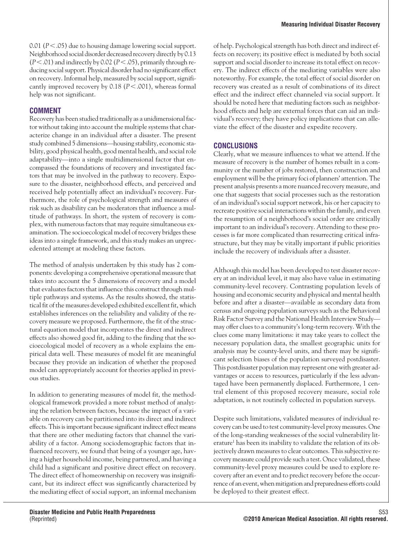0.01 ( $P < .05$ ) due to housing damage lowering social support. Neighborhood social disorder decreased recovery directly by 0.13  $(P<.01)$  and indirectly by 0.02 ( $P<.05$ ), primarily through reducing social support. Physical disorder had no significant effect on recovery. Informal help, measured by social support, significantly improved recovery by  $0.18$  ( $P < .001$ ), whereas formal help was not significant.

### **COMMENT**

Recovery has been studied traditionally as a unidimensional factor without taking into account the multiple systems that characterize change in an individual after a disaster. The present study combined 5 dimensions—housing stability, economic stability, good physical health, good mental health, and social role adaptability—into a single multidimensional factor that encompassed the foundations of recovery and investigated factors that may be involved in the pathway to recovery. Exposure to the disaster, neighborhood effects, and perceived and received help potentially affect an individual's recovery. Furthermore, the role of psychological strength and measures of risk such as disability can be moderators that influence a multitude of pathways. In short, the system of recovery is complex, with numerous factors that may require simultaneous examination. The socioecological model of recovery bridges these ideas into a single framework, and this study makes an unprecedented attempt at modeling these factors.

The method of analysis undertaken by this study has 2 components: developing a comprehensive operational measure that takes into account the 5 dimensions of recovery and a model that evaluates factors that influence this construct through multiple pathways and systems. As the results showed, the statistical fit of the measures developed exhibited excellent fit, which establishes inferences on the reliability and validity of the recovery measure we proposed. Furthermore, the fit of the structural equation model that incorporates the direct and indirect effects also showed good fit, adding to the finding that the socioecological model of recovery as a whole explains the empirical data well. These measures of model fit are meaningful because they provide an indication of whether the proposed model can appropriately account for theories applied in previous studies.

In addition to generating measures of model fit, the methodological framework provided a more robust method of analyzing the relation between factors, because the impact of a variable on recovery can be partitioned into its direct and indirect effects. This is important because significant indirect effect means that there are other mediating factors that channel the variability of a factor. Among sociodemographic factors that influenced recovery, we found that being of a younger age, having a higher household income, being partnered, and having a child had a significant and positive direct effect on recovery. The direct effect of homeownership on recovery was insignificant, but its indirect effect was significantly characterized by the mediating effect of social support, an informal mechanism of help. Psychological strength has both direct and indirect effects on recovery; its positive effect is mediated by both social support and social disorder to increase its total effect on recovery. The indirect effects of the mediating variables were also noteworthy. For example, the total effect of social disorder on recovery was created as a result of combinations of its direct effect and the indirect effect channeled via social support. It should be noted here that mediating factors such as neighborhood effects and help are external forces that can aid an individual's recovery; they have policy implications that can alleviate the effect of the disaster and expedite recovery.

### **CONCLUSIONS**

Clearly, what we measure influences to what we attend. If the measure of recovery is the number of homes rebuilt in a community or the number of jobs restored, then construction and employment will be the primary foci of planners' attention. The present analysis presents a more nuanced recovery measure, and one that suggests that social processes such as the restoration of an individual's social support network, his or her capacity to recreate positive social interactions within the family, and even the resumption of a neighborhood's social order are critically important to an individual's recovery. Attending to these processes is far more complicated than resurrecting critical infrastructure, but they may be vitally important if public priorities include the recovery of individuals after a disaster.

Although this model has been developed to test disaster recovery at an individual level, it may also have value in estimating community-level recovery. Contrasting population levels of housing and economic security and physical and mental health before and after a disaster—available as secondary data from census and ongoing population surveys such as the Behavioral Risk Factor Survey and the National Health Interview Study may offer clues to a community's long-term recovery. With the clues come many limitations: it may take years to collect the necessary population data, the smallest geographic units for analysis may be county-level units, and there may be significant selection biases of the population surveyed postdisaster. This postdisaster population may represent one with greater advantages or access to resources, particularly if the less advantaged have been permanently displaced. Furthermore, 1 central element of this proposed recovery measure, social role adaptation, is not routinely collected in population surveys.

Despite such limitations, validated measures of individual recovery can be used to test community-level proxy measures. One of the long-standing weaknesses of the social vulnerability literature<sup>1</sup> has been its inability to validate the relation of its objectively drawn measures to clear outcomes. This subjective recovery measure could provide such a test. Once validated, these community-level proxy measures could be used to explore recovery after an event and to predict recovery before the occurrence of an event, when mitigation and preparedness efforts could be deployed to their greatest effect.